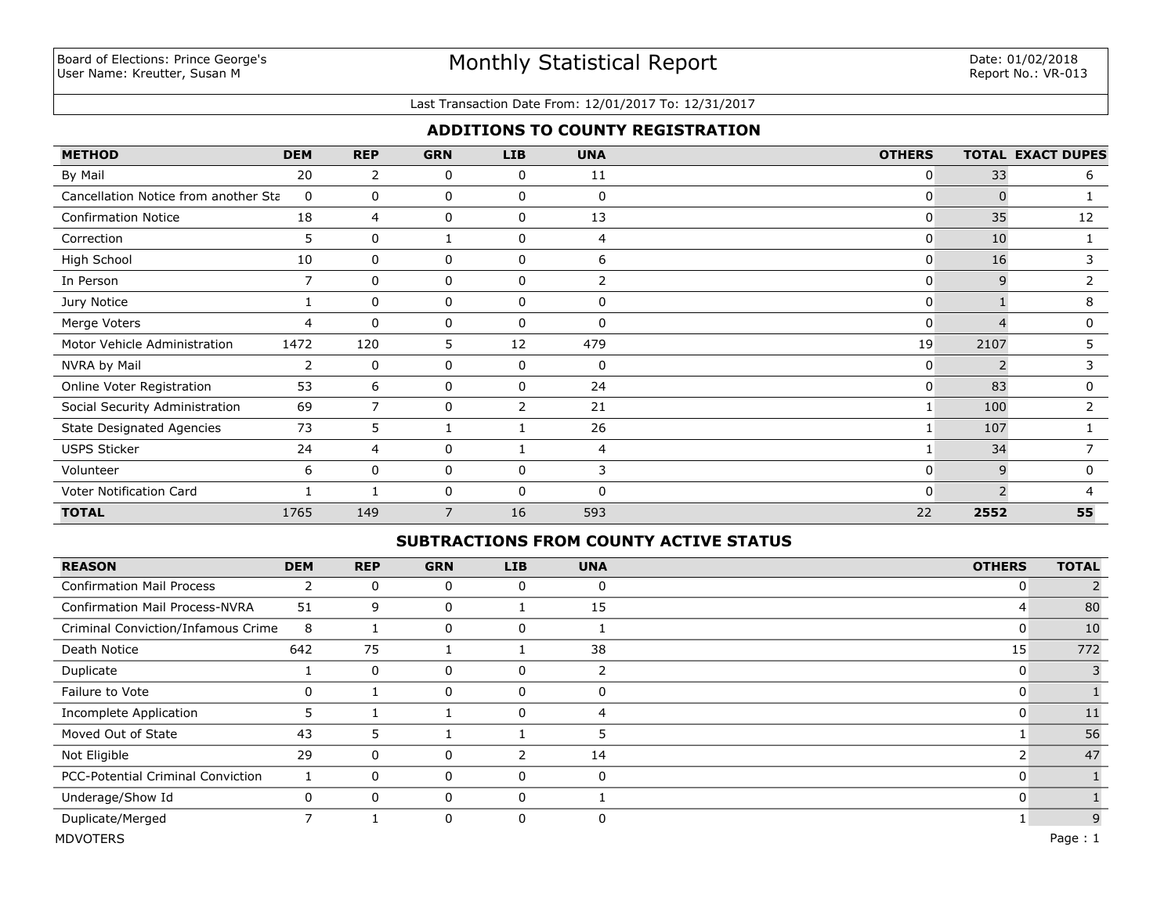#### Last Transaction Date From: 12/01/2017 To: 12/31/2017

## **ADDITIONS TO COUNTY REGISTRATION**

| <b>METHOD</b>                        | <b>DEM</b>     | <b>REP</b>   | <b>GRN</b>  | <b>LIB</b>   | <b>UNA</b> | <b>OTHERS</b> |          | <b>TOTAL EXACT DUPES</b> |
|--------------------------------------|----------------|--------------|-------------|--------------|------------|---------------|----------|--------------------------|
| By Mail                              | 20             | 2            | 0           | 0            | 11         | 0             | 33       | 6                        |
| Cancellation Notice from another Sta | 0              | 0            | 0           | 0            | 0          | 0             | $\Omega$ |                          |
| <b>Confirmation Notice</b>           | 18             | 4            | 0           | 0            | 13         | 0             | 35       | 12                       |
| Correction                           | 5              | $\Omega$     |             | $\Omega$     | 4          | $\mathbf 0$   | 10       |                          |
| High School                          | 10             | $\mathbf 0$  | $\mathbf 0$ | $\mathbf{0}$ | 6          | 0             | 16       | 3                        |
| In Person                            | 7              | $\mathbf{0}$ | 0           | 0            | 2          | 0             | 9        | 2                        |
| Jury Notice                          |                | 0            | 0           | 0            | 0          | 0             |          | 8                        |
| Merge Voters                         | $\overline{4}$ | 0            | 0           | 0            | $\Omega$   | $\mathbf{0}$  |          | 0                        |
| Motor Vehicle Administration         | 1472           | 120          | 5.          | 12           | 479        | 19            | 2107     | 5                        |
| NVRA by Mail                         | 2              | 0            | 0           | 0            | 0          | 0             |          | 3                        |
| Online Voter Registration            | 53             | 6            | 0           | $\mathbf{0}$ | 24         | 0             | 83       | 0                        |
| Social Security Administration       | 69             | 7            | 0           | 2            | 21         |               | 100      | $\overline{2}$           |
| <b>State Designated Agencies</b>     | 73             | 5            |             |              | 26         |               | 107      |                          |
| <b>USPS Sticker</b>                  | 24             | 4            | 0           |              | 4          |               | 34       |                          |
| Volunteer                            | 6              | 0            | 0           | $\mathbf{0}$ | 3          | 0             | 9        | $\Omega$                 |
| Voter Notification Card              |                |              | 0           | $\mathbf{0}$ | $\Omega$   | $\Omega$      |          | 4                        |
| <b>TOTAL</b>                         | 1765           | 149          | 7           | 16           | 593        | 22            | 2552     | 55                       |

## **SUBTRACTIONS FROM COUNTY ACTIVE STATUS**

| <b>REASON</b>                         | <b>DEM</b>     | <b>REP</b> | <b>GRN</b> | <b>LIB</b> | <b>UNA</b> | <b>OTHERS</b> | <b>TOTAL</b> |
|---------------------------------------|----------------|------------|------------|------------|------------|---------------|--------------|
| <b>Confirmation Mail Process</b>      | $\overline{2}$ | 0          | 0          | 0          | 0          | 0             |              |
| <b>Confirmation Mail Process-NVRA</b> | 51             | 9          | 0          |            | 15         |               | 80           |
| Criminal Conviction/Infamous Crime    | 8              |            | 0          | 0          |            |               | 10           |
| Death Notice                          | 642            | 75         |            |            | 38         | 15            | 772          |
| Duplicate                             |                | $\Omega$   | 0          | 0          | 2          |               | 3            |
| Failure to Vote                       |                |            | 0          | 0          | 0          |               |              |
| <b>Incomplete Application</b>         | 5              |            |            | 0          | 4          |               | 11           |
| Moved Out of State                    | 43             | 5          |            |            |            |               | 56           |
| Not Eligible                          | 29             | 0          | 0          | 2          | 14         |               | 47           |
| PCC-Potential Criminal Conviction     |                | $\Omega$   | 0          | 0          | 0          |               |              |
| Underage/Show Id                      | 0              | $\Omega$   | 0          | 0          |            | n             |              |
| Duplicate/Merged                      |                |            | 0          | 0          | 0          |               | 9            |
| <b>MDVOTERS</b>                       |                |            |            |            |            |               | Page: $1$    |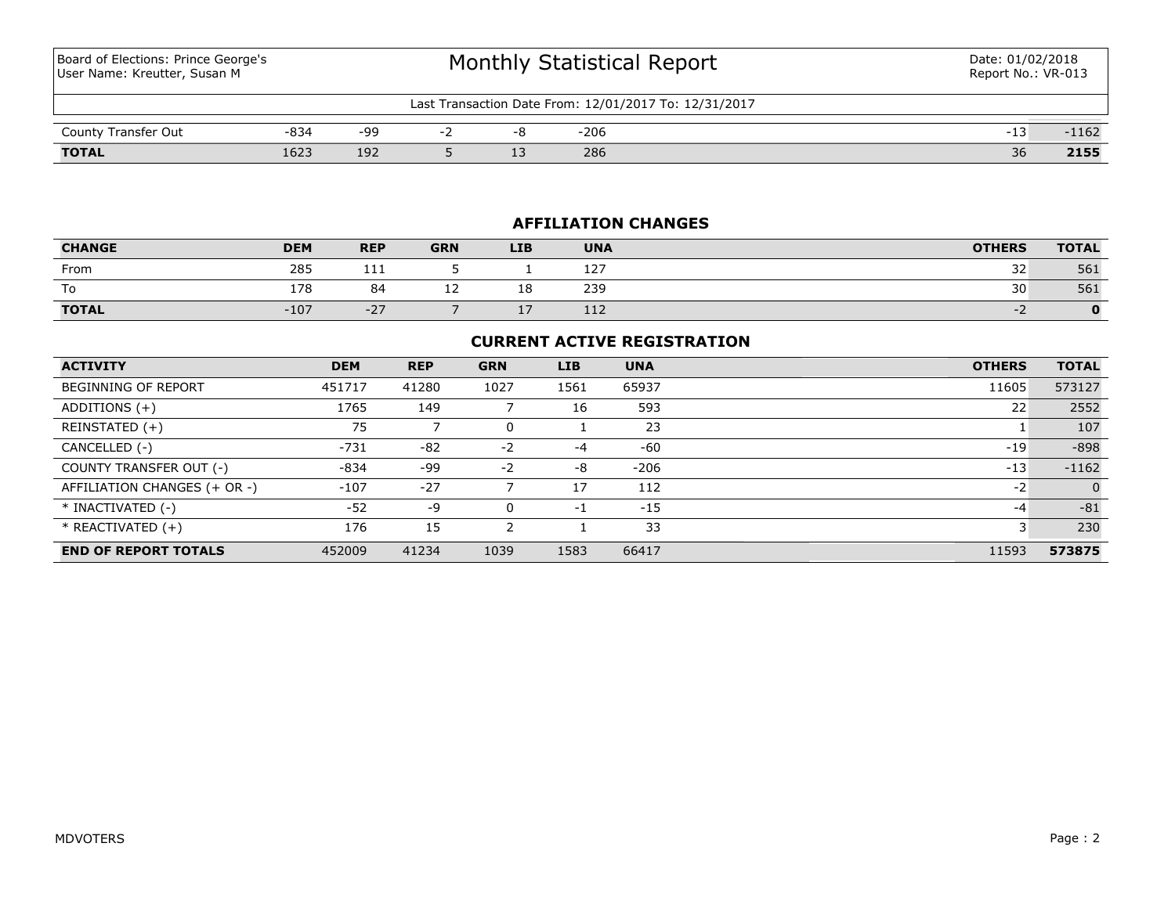Board of Elections: Prince George's User Name: Kreutter, Susan M

| Last Transaction Date From: 12/01/2017 To: 12/31/2017 |        |     |  |    |        |  |           |      |
|-------------------------------------------------------|--------|-----|--|----|--------|--|-----------|------|
| ' Transfer Out<br>County                              | $-834$ | -99 |  |    | $-206$ |  | . -<br>-- | 1162 |
| <b>TOTAL</b>                                          | 1623   | 192 |  | -- | 286    |  | 36        | 2155 |

## **AFFILIATION CHANGES**

| <b>CHANGE</b> | <b>DEM</b> | <b>REP</b> | <b>GRN</b> | <b>LIB</b> | <b>UNA</b> | <b>OTHERS</b> | <b>TOTAL</b> |
|---------------|------------|------------|------------|------------|------------|---------------|--------------|
| From          | 285        | .<br>+++   |            |            | 127        | $\sim$<br>32  | 561          |
| To            | 178        | 84         | --         | 10<br>ŦΟ   | 239        | 30            | 561          |
| <b>TOTAL</b>  | $-107$     | $-27$      |            | . .        | 117<br>11Z |               | o            |

## **CURRENT ACTIVE REGISTRATION**

| <b>ACTIVITY</b>              | <b>DEM</b> | <b>REP</b> | <b>GRN</b> | <b>LIB</b> | <b>UNA</b> | <b>OTHERS</b> | <b>TOTAL</b> |
|------------------------------|------------|------------|------------|------------|------------|---------------|--------------|
| BEGINNING OF REPORT          | 451717     | 41280      | 1027       | 1561       | 65937      | 11605         | 573127       |
| ADDITIONS (+)                | 1765       | 149        |            | 16         | 593        | 22            | 2552         |
| REINSTATED (+)               | 75         |            |            |            | 23         |               | 107          |
| CANCELLED (-)                | $-731$     | $-82$      | $-2$       | $-4$       | -60        | $-19$         | $-898$       |
| COUNTY TRANSFER OUT (-)      | $-834$     | -99        | $-2$       | -8         | $-206$     | $-13$         | $-1162$      |
| AFFILIATION CHANGES (+ OR -) | $-107$     | $-27$      |            | 17         | 112        | $-2$          | $\Omega$     |
| * INACTIVATED (-)            | $-52$      | -9         | 0          | -1         | $-15$      | $-4$          | $-81$        |
| * REACTIVATED (+)            | 176        | 15         |            |            | 33         |               | 230          |
| <b>END OF REPORT TOTALS</b>  | 452009     | 41234      | 1039       | 1583       | 66417      | 11593         | 573875       |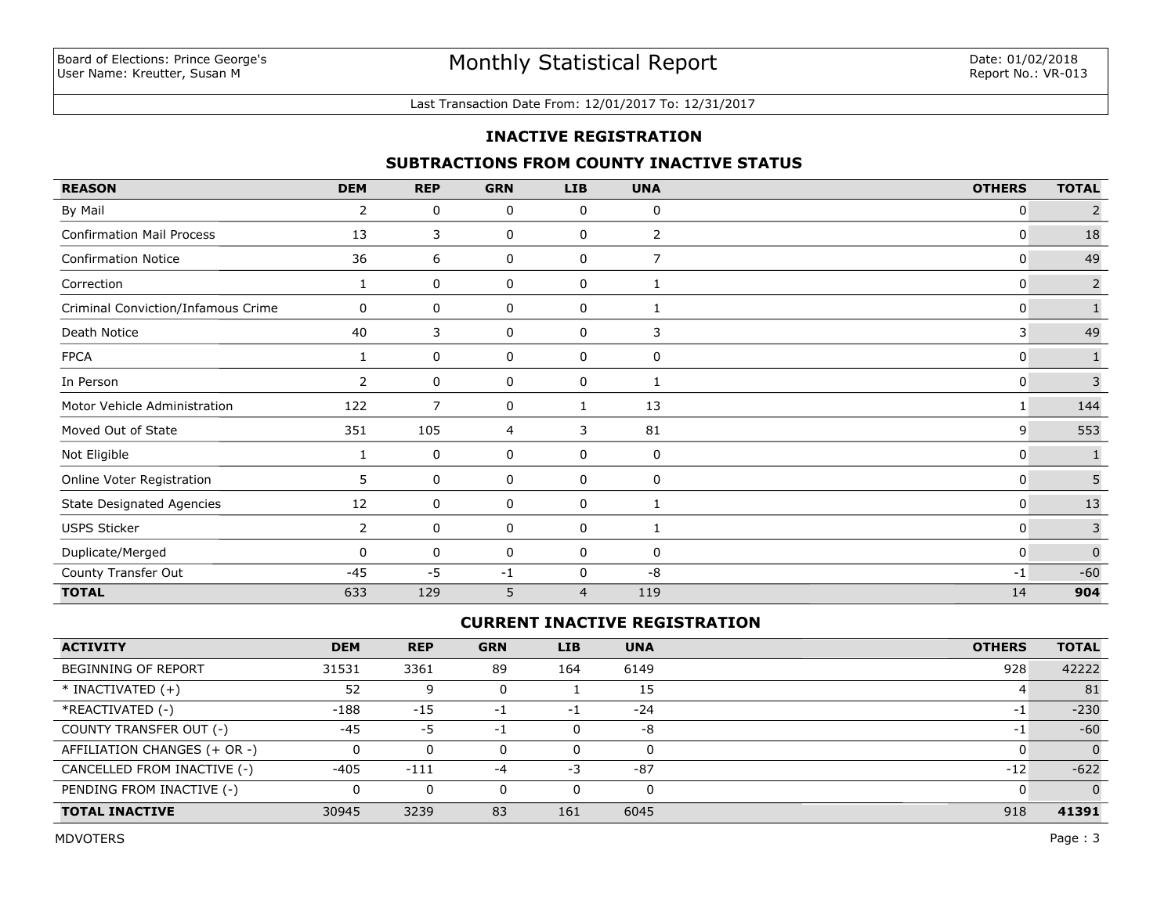#### Last Transaction Date From: 12/01/2017 To: 12/31/2017

### **INACTIVE REGISTRATION**

## **SUBTRACTIONS FROM COUNTY INACTIVE STATUS**

| <b>REASON</b>                      | <b>DEM</b>   | <b>REP</b>     | <b>GRN</b>     | <b>LIB</b>     | <b>UNA</b>     | <b>OTHERS</b> | <b>TOTAL</b>   |
|------------------------------------|--------------|----------------|----------------|----------------|----------------|---------------|----------------|
| By Mail                            | 2            | 0              | 0              | 0              | 0              | 0             | $\overline{2}$ |
| <b>Confirmation Mail Process</b>   | 13           | 3              | 0              | 0              | 2              | 0             | 18             |
| <b>Confirmation Notice</b>         | 36           | 6              | 0              | 0              | $\overline{7}$ | $\mathbf{0}$  | 49             |
| Correction                         | 1            | 0              | 0              | 0              | 1              | 0             | $\overline{2}$ |
| Criminal Conviction/Infamous Crime | $\Omega$     | 0              | 0              | 0              | 1              | 0             | $\mathbf{1}$   |
| Death Notice                       | 40           | 3              | 0              | 0              | 3              | 3             | 49             |
| <b>FPCA</b>                        | 1            | 0              | 0              | 0              | 0              | 0             | $\mathbf{1}$   |
| In Person                          | 2            | 0              | 0              | 0              | 1              | 0             | 3              |
| Motor Vehicle Administration       | 122          | $\overline{7}$ | 0              | 1              | 13             | 1             | 144            |
| Moved Out of State                 | 351          | 105            | $\overline{4}$ | 3              | 81             | 9             | 553            |
| Not Eligible                       | 1            | 0              | 0              | 0              | 0              | 0             | $\mathbf{1}$   |
| Online Voter Registration          | 5            | 0              | 0              | $\mathbf 0$    | 0              | 0             | 5              |
| <b>State Designated Agencies</b>   | 12           | 0              | 0              | 0              | 1              | 0             | 13             |
| <b>USPS Sticker</b>                | $\mathbf{2}$ | 0              | 0              | 0              | 1              | 0             | $\mathsf{3}$   |
| Duplicate/Merged                   | $\mathbf{0}$ | 0              | 0              | 0              | 0              | 0             | $\mathbf 0$    |
| County Transfer Out                | $-45$        | $-5$           | $-1$           | $\mathbf 0$    | -8             | $-1$          | $-60$          |
| <b>TOTAL</b>                       | 633          | 129            | 5              | $\overline{4}$ | 119            | 14            | 904            |

# **CURRENT INACTIVE REGISTRATION**

| <b>ACTIVITY</b>              | <b>DEM</b> | <b>REP</b> | <b>GRN</b> | <b>LIB</b> | <b>UNA</b> | <b>OTHERS</b> | <b>TOTAL</b> |
|------------------------------|------------|------------|------------|------------|------------|---------------|--------------|
| <b>BEGINNING OF REPORT</b>   | 31531      | 3361       | 89         | 164        | 6149       | 928           | 42222        |
| $*$ INACTIVATED $(+)$        | 52         | 9          |            |            | 15         |               | 81           |
| *REACTIVATED (-)             | $-188$     | $-15$      | - 1        | -1         | $-24$      | $-1$          | $-230$       |
| COUNTY TRANSFER OUT (-)      | $-45$      | -5         | -1         | 0          | -8         | $-1$          | $-60$        |
| AFFILIATION CHANGES (+ OR -) |            | 0          |            | 0          | 0          |               |              |
| CANCELLED FROM INACTIVE (-)  | $-405$     | $-111$     | -4         | $-3$       | $-87$      | $-12$         | $-622$       |
| PENDING FROM INACTIVE (-)    |            | 0          |            | 0          | 0          |               |              |
| <b>TOTAL INACTIVE</b>        | 30945      | 3239       | 83         | 161        | 6045       | 918           | 41391        |